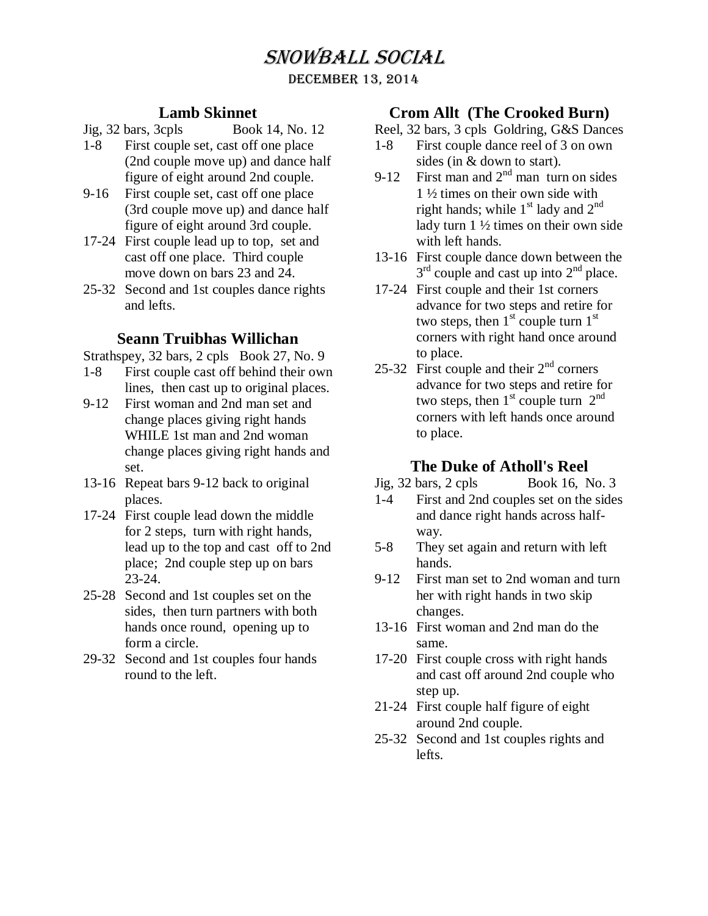# Snowball Social

DECEMBER 13, 2014

## **Lamb Skinnet**

- Jig, 32 bars, 3cpls Book 14, No. 12
- 1-8 First couple set, cast off one place (2nd couple move up) and dance half figure of eight around 2nd couple.
- 9-16 First couple set, cast off one place (3rd couple move up) and dance half figure of eight around 3rd couple.
- 17-24 First couple lead up to top, set and cast off one place. Third couple move down on bars 23 and 24.
- 25-32 Second and 1st couples dance rights and lefts.

## **Seann Truibhas Willichan**

Strathspey, 32 bars, 2 cpls Book 27, No. 9

- 1-8 First couple cast off behind their own lines, then cast up to original places.
- 9-12 First woman and 2nd man set and change places giving right hands WHILE 1st man and 2nd woman change places giving right hands and set.
- 13-16 Repeat bars 9-12 back to original places.
- 17-24 First couple lead down the middle for 2 steps, turn with right hands, lead up to the top and cast off to 2nd place; 2nd couple step up on bars 23-24.
- 25-28 Second and 1st couples set on the sides, then turn partners with both hands once round, opening up to form a circle.
- 29-32 Second and 1st couples four hands round to the left.

## **Crom Allt (The Crooked Burn)**

- Reel, 32 bars, 3 cpls Goldring, G&S Dances
- 1-8 First couple dance reel of 3 on own sides (in & down to start).
- 9-12 First man and  $2<sup>nd</sup>$  man turn on sides 1 ½ times on their own side with right hands; while  $1<sup>st</sup>$  lady and  $2<sup>nd</sup>$ lady turn 1 ½ times on their own side with left hands.
- 13-16 First couple dance down between the  $3<sup>rd</sup>$  couple and cast up into  $2<sup>nd</sup>$  place.
- 17-24 First couple and their 1st corners advance for two steps and retire for two steps, then  $1<sup>st</sup>$  couple turn  $1<sup>st</sup>$ corners with right hand once around to place.
- 25-32 First couple and their  $2<sup>nd</sup>$  corners advance for two steps and retire for two steps, then  $1<sup>st</sup>$  couple turn  $2<sup>nd</sup>$ corners with left hands once around to place.

# **The Duke of Atholl's Reel**

- Jig, 32 bars, 2 cpls Book 16, No. 3
- 1-4 First and 2nd couples set on the sides and dance right hands across halfway.
- 5-8 They set again and return with left hands.
- 9-12 First man set to 2nd woman and turn her with right hands in two skip changes.
- 13-16 First woman and 2nd man do the same.
- 17-20 First couple cross with right hands and cast off around 2nd couple who step up.
- 21-24 First couple half figure of eight around 2nd couple.
- 25-32 Second and 1st couples rights and lefts.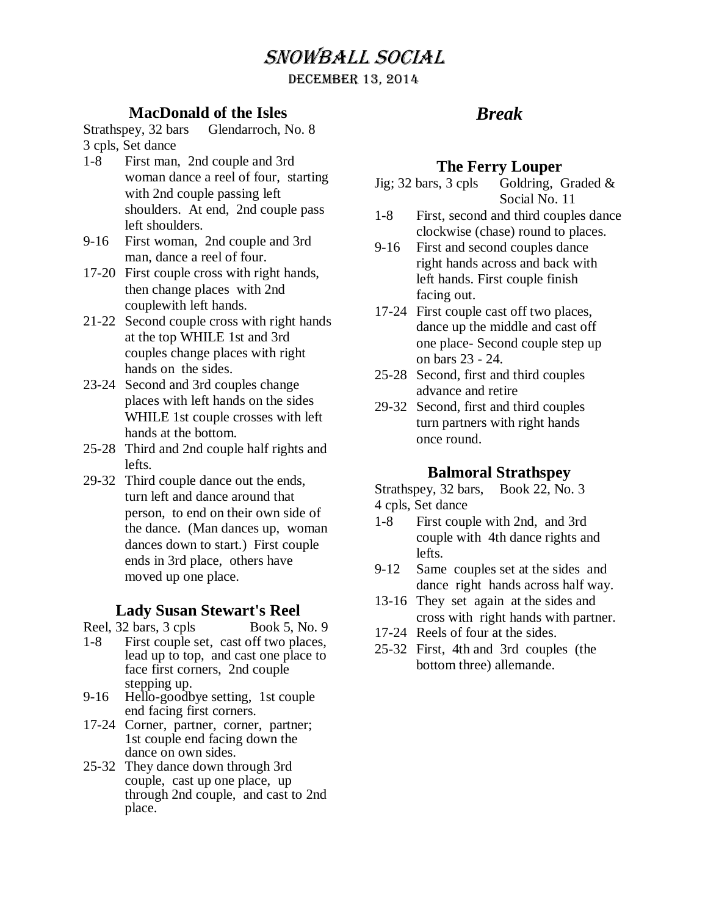# Snowball Social

#### DECEMBER 13, 2014

# **MacDonald of the Isles**

Strathspey, 32 bars Glendarroch, No. 8 3 cpls, Set dance

- 1-8 First man, 2nd couple and 3rd woman dance a reel of four, starting with 2nd couple passing left shoulders. At end, 2nd couple pass left shoulders.
- 9-16 First woman, 2nd couple and 3rd man, dance a reel of four.
- 17-20 First couple cross with right hands, then change places with 2nd couplewith left hands.
- 21-22 Second couple cross with right hands at the top WHILE 1st and 3rd couples change places with right hands on the sides.
- 23-24 Second and 3rd couples change places with left hands on the sides WHILE 1st couple crosses with left hands at the bottom.
- 25-28 Third and 2nd couple half rights and lefts.
- 29-32 Third couple dance out the ends, turn left and dance around that person, to end on their own side of the dance. (Man dances up, woman dances down to start.) First couple ends in 3rd place, others have moved up one place.

## **Lady Susan Stewart's Reel**

- Reel, 32 bars, 3 cpls Book 5, No. 9
- 1-8 First couple set, cast off two places, lead up to top, and cast one place to face first corners, 2nd couple stepping up.
- 9-16 Hello-goodbye setting, 1st couple end facing first corners.
- 17-24 Corner, partner, corner, partner; 1st couple end facing down the dance on own sides.
- 25-32 They dance down through 3rd couple, cast up one place, up through 2nd couple, and cast to 2nd place.

# *Break*

# **The Ferry Louper**

- Jig; 32 bars, 3 cpls Goldring, Graded  $\&$ Social No. 11
- 1-8 First, second and third couples dance clockwise (chase) round to places.
- 9-16 First and second couples dance right hands across and back with left hands. First couple finish facing out.
- 17-24 First couple cast off two places, dance up the middle and cast off one place- Second couple step up on bars 23 - 24.
- 25-28 Second, first and third couples advance and retire
- 29-32 Second, first and third couples turn partners with right hands once round.

# **Balmoral Strathspey**

Strathspey, 32 bars, Book 22, No. 3 4 cpls, Set dance

- 1-8 First couple with 2nd, and 3rd couple with 4th dance rights and lefts.
- 9-12 Same couples set at the sides and dance right hands across half way.
- 13-16 They set again at the sides and cross with right hands with partner.
- 17-24 Reels of four at the sides.
- 25-32 First, 4th and 3rd couples (the bottom three) allemande.